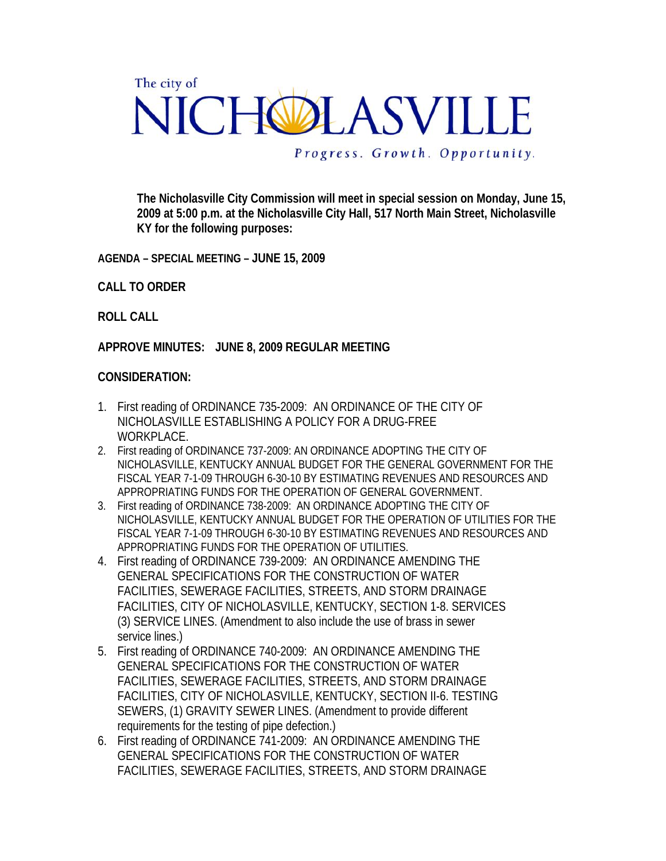## The city of NICHOLASVILLE

Progress. Growth. Opportunity.

**The Nicholasville City Commission will meet in special session on Monday, June 15, 2009 at 5:00 p.m. at the Nicholasville City Hall, 517 North Main Street, Nicholasville KY for the following purposes:** 

**AGENDA – SPECIAL MEETING – JUNE 15, 2009** 

**CALL TO ORDER** 

**ROLL CALL** 

**APPROVE MINUTES: JUNE 8, 2009 REGULAR MEETING** 

## **CONSIDERATION:**

- 1. First reading of ORDINANCE 735-2009: AN ORDINANCE OF THE CITY OF NICHOLASVILLE ESTABLISHING A POLICY FOR A DRUG-FREE WORKPLACE.
- 2. First reading of ORDINANCE 737-2009: AN ORDINANCE ADOPTING THE CITY OF NICHOLASVILLE, KENTUCKY ANNUAL BUDGET FOR THE GENERAL GOVERNMENT FOR THE FISCAL YEAR 7-1-09 THROUGH 6-30-10 BY ESTIMATING REVENUES AND RESOURCES AND APPROPRIATING FUNDS FOR THE OPERATION OF GENERAL GOVERNMENT.
- 3. First reading of ORDINANCE 738-2009: AN ORDINANCE ADOPTING THE CITY OF NICHOLASVILLE, KENTUCKY ANNUAL BUDGET FOR THE OPERATION OF UTILITIES FOR THE FISCAL YEAR 7-1-09 THROUGH 6-30-10 BY ESTIMATING REVENUES AND RESOURCES AND APPROPRIATING FUNDS FOR THE OPERATION OF UTILITIES.
- 4. First reading of ORDINANCE 739-2009: AN ORDINANCE AMENDING THE GENERAL SPECIFICATIONS FOR THE CONSTRUCTION OF WATER FACILITIES, SEWERAGE FACILITIES, STREETS, AND STORM DRAINAGE FACILITIES, CITY OF NICHOLASVILLE, KENTUCKY, SECTION 1-8. SERVICES (3) SERVICE LINES. (Amendment to also include the use of brass in sewer service lines.)
- 5. First reading of ORDINANCE 740-2009: AN ORDINANCE AMENDING THE GENERAL SPECIFICATIONS FOR THE CONSTRUCTION OF WATER FACILITIES, SEWERAGE FACILITIES, STREETS, AND STORM DRAINAGE FACILITIES, CITY OF NICHOLASVILLE, KENTUCKY, SECTION II-6. TESTING SEWERS, (1) GRAVITY SEWER LINES. (Amendment to provide different requirements for the testing of pipe defection.)
- 6. First reading of ORDINANCE 741-2009: AN ORDINANCE AMENDING THE GENERAL SPECIFICATIONS FOR THE CONSTRUCTION OF WATER FACILITIES, SEWERAGE FACILITIES, STREETS, AND STORM DRAINAGE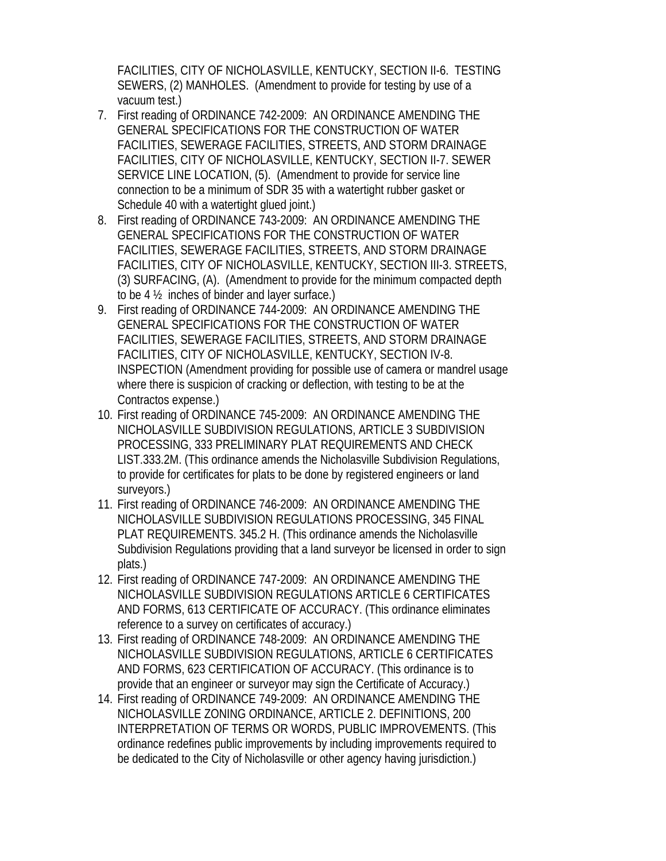FACILITIES, CITY OF NICHOLASVILLE, KENTUCKY, SECTION II-6. TESTING SEWERS, (2) MANHOLES. (Amendment to provide for testing by use of a vacuum test.)

- 7. First reading of ORDINANCE 742-2009: AN ORDINANCE AMENDING THE GENERAL SPECIFICATIONS FOR THE CONSTRUCTION OF WATER FACILITIES, SEWERAGE FACILITIES, STREETS, AND STORM DRAINAGE FACILITIES, CITY OF NICHOLASVILLE, KENTUCKY, SECTION II-7. SEWER SERVICE LINE LOCATION, (5). (Amendment to provide for service line connection to be a minimum of SDR 35 with a watertight rubber gasket or Schedule 40 with a watertight glued joint.)
- 8. First reading of ORDINANCE 743-2009: AN ORDINANCE AMENDING THE GENERAL SPECIFICATIONS FOR THE CONSTRUCTION OF WATER FACILITIES, SEWERAGE FACILITIES, STREETS, AND STORM DRAINAGE FACILITIES, CITY OF NICHOLASVILLE, KENTUCKY, SECTION III-3. STREETS, (3) SURFACING, (A). (Amendment to provide for the minimum compacted depth to be 4 ½ inches of binder and layer surface.)
- 9. First reading of ORDINANCE 744-2009: AN ORDINANCE AMENDING THE GENERAL SPECIFICATIONS FOR THE CONSTRUCTION OF WATER FACILITIES, SEWERAGE FACILITIES, STREETS, AND STORM DRAINAGE FACILITIES, CITY OF NICHOLASVILLE, KENTUCKY, SECTION IV-8. INSPECTION (Amendment providing for possible use of camera or mandrel usage where there is suspicion of cracking or deflection, with testing to be at the Contractos expense.)
- 10. First reading of ORDINANCE 745-2009: AN ORDINANCE AMENDING THE NICHOLASVILLE SUBDIVISION REGULATIONS, ARTICLE 3 SUBDIVISION PROCESSING, 333 PRELIMINARY PLAT REQUIREMENTS AND CHECK LIST.333.2M. (This ordinance amends the Nicholasville Subdivision Regulations, to provide for certificates for plats to be done by registered engineers or land surveyors.)
- 11. First reading of ORDINANCE 746-2009: AN ORDINANCE AMENDING THE NICHOLASVILLE SUBDIVISION REGULATIONS PROCESSING, 345 FINAL PLAT REQUIREMENTS. 345.2 H. (This ordinance amends the Nicholasville Subdivision Regulations providing that a land surveyor be licensed in order to sign plats.)
- 12. First reading of ORDINANCE 747-2009: AN ORDINANCE AMENDING THE NICHOLASVILLE SUBDIVISION REGULATIONS ARTICLE 6 CERTIFICATES AND FORMS, 613 CERTIFICATE OF ACCURACY. (This ordinance eliminates reference to a survey on certificates of accuracy.)
- 13. First reading of ORDINANCE 748-2009: AN ORDINANCE AMENDING THE NICHOLASVILLE SUBDIVISION REGULATIONS, ARTICLE 6 CERTIFICATES AND FORMS, 623 CERTIFICATION OF ACCURACY. (This ordinance is to provide that an engineer or surveyor may sign the Certificate of Accuracy.)
- 14. First reading of ORDINANCE 749-2009: AN ORDINANCE AMENDING THE NICHOLASVILLE ZONING ORDINANCE, ARTICLE 2. DEFINITIONS, 200 INTERPRETATION OF TERMS OR WORDS, PUBLIC IMPROVEMENTS. (This ordinance redefines public improvements by including improvements required to be dedicated to the City of Nicholasville or other agency having jurisdiction.)